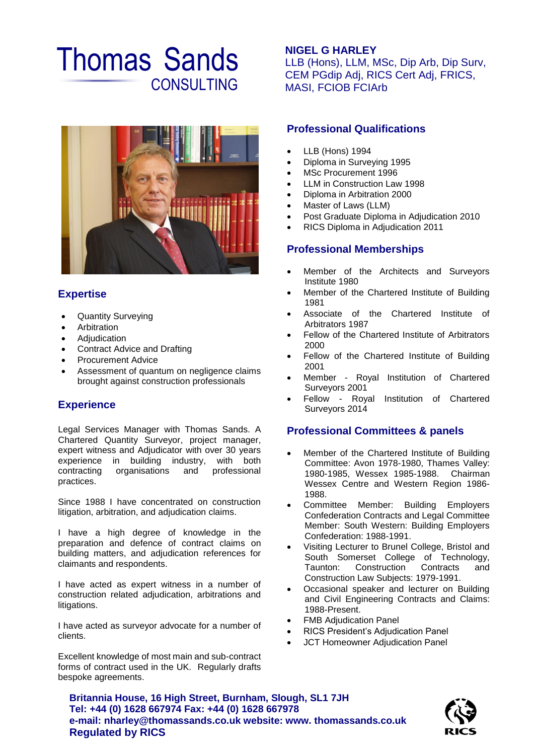# Thomas Sands **CONSULTING**



## **Expertise**

- Quantity Surveying
- Arbitration
- Adjudication
- Contract Advice and Drafting
- Procurement Advice
- Assessment of quantum on negligence claims brought against construction professionals

## **Experience**

Legal Services Manager with Thomas Sands. A Chartered Quantity Surveyor, project manager, expert witness and Adjudicator with over 30 years experience in building industry, with both contracting organisations and professional practices.

Since 1988 I have concentrated on construction litigation, arbitration, and adjudication claims.

I have a high degree of knowledge in the preparation and defence of contract claims on building matters, and adjudication references for claimants and respondents.

I have acted as expert witness in a number of construction related adjudication, arbitrations and litigations.

I have acted as surveyor advocate for a number of clients.

Excellent knowledge of most main and sub-contract forms of contract used in the UK. Regularly drafts bespoke agreements.

## **NIGEL G HARLEY**

LLB (Hons), LLM, MSc, Dip Arb, Dip Surv, CEM PGdip Adj, RICS Cert Adj, FRICS, MASI, FCIOB FCIArb

## **Professional Qualifications**

- LLB (Hons) 1994
- Diploma in Surveying 1995
- MSc Procurement 1996
- LLM in Construction Law 1998
- Diploma in Arbitration 2000
- Master of Laws (LLM)
- Post Graduate Diploma in Adjudication 2010
- RICS Diploma in Adjudication 2011

#### **Professional Memberships**

- Member of the Architects and Surveyors Institute 1980
- Member of the Chartered Institute of Building 1981
- Associate of the Chartered Institute of Arbitrators 1987
- Fellow of the Chartered Institute of Arbitrators 2000
- Fellow of the Chartered Institute of Building 2001
- Member Royal Institution of Chartered Surveyors 2001
- Fellow Royal Institution of Chartered Surveyors 2014

## **Professional Committees & panels**

- Member of the Chartered Institute of Building Committee: Avon 1978-1980, Thames Valley: 1980-1985, Wessex 1985-1988. Chairman Wessex Centre and Western Region 1986- 1988.
- Committee Member: Building Employers Confederation Contracts and Legal Committee Member: South Western: Building Employers Confederation: 1988-1991.
- Visiting Lecturer to Brunel College, Bristol and South Somerset College of Technology, Taunton: Construction Contracts and Construction Law Subjects: 1979-1991.
- Occasional speaker and lecturer on Building and Civil Engineering Contracts and Claims: 1988-Present.
- FMB Adjudication Panel
- RICS President's Adjudication Panel
- JCT Homeowner Adjudication Panel

**Britannia House, 16 High Street, Burnham, Slough, SL1 7JH Tel: +44 (0) 1628 667974 Fax: +44 (0) 1628 667978 e-mail: nharley@thomassands.co.uk website: www. thomassands.co.uk Regulated by RICS**